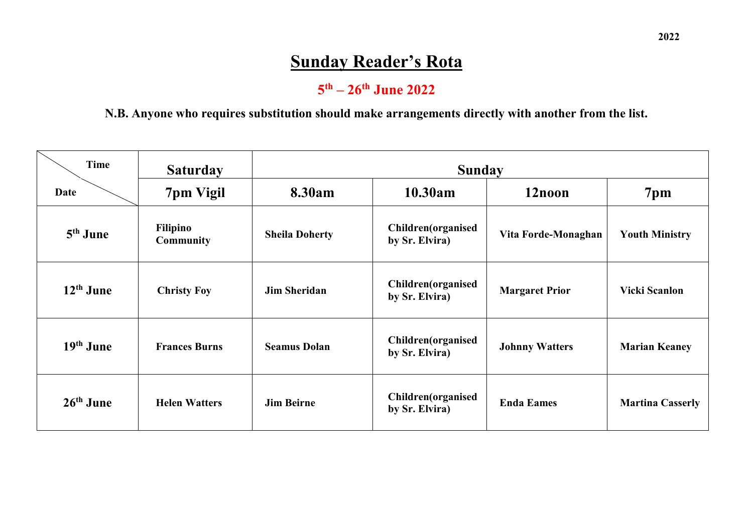# **Sunday Reader's Rota**

## **5 th – 26th June 2022**

#### **N.B. Anyone who requires substitution should make arrangements directly with another from the list.**

| Time        | <b>Saturday</b>              | <b>Sunday</b>         |                                                                     |                       |                         |  |  |
|-------------|------------------------------|-----------------------|---------------------------------------------------------------------|-----------------------|-------------------------|--|--|
| Date        | 7pm Vigil                    | 8.30am                | 10.30am                                                             | 12noon                | 7 <sub>pm</sub>         |  |  |
| $5th$ June  | Filipino<br><b>Community</b> | <b>Sheila Doherty</b> | <b>Children</b> (organised<br>Vita Forde-Monaghan<br>by Sr. Elvira) |                       | <b>Youth Ministry</b>   |  |  |
| $12th$ June | <b>Christy Foy</b>           | <b>Jim Sheridan</b>   | <b>Children</b> (organised<br>by Sr. Elvira)                        | <b>Margaret Prior</b> | <b>Vicki Scanlon</b>    |  |  |
| $19th$ June | <b>Frances Burns</b>         | <b>Seamus Dolan</b>   | Children(organised<br>by Sr. Elvira)                                | <b>Johnny Watters</b> | <b>Marian Keaney</b>    |  |  |
| $26th$ June | <b>Helen Watters</b>         | <b>Jim Beirne</b>     | Children(organised<br>by Sr. Elvira)                                | <b>Enda Eames</b>     | <b>Martina Casserly</b> |  |  |